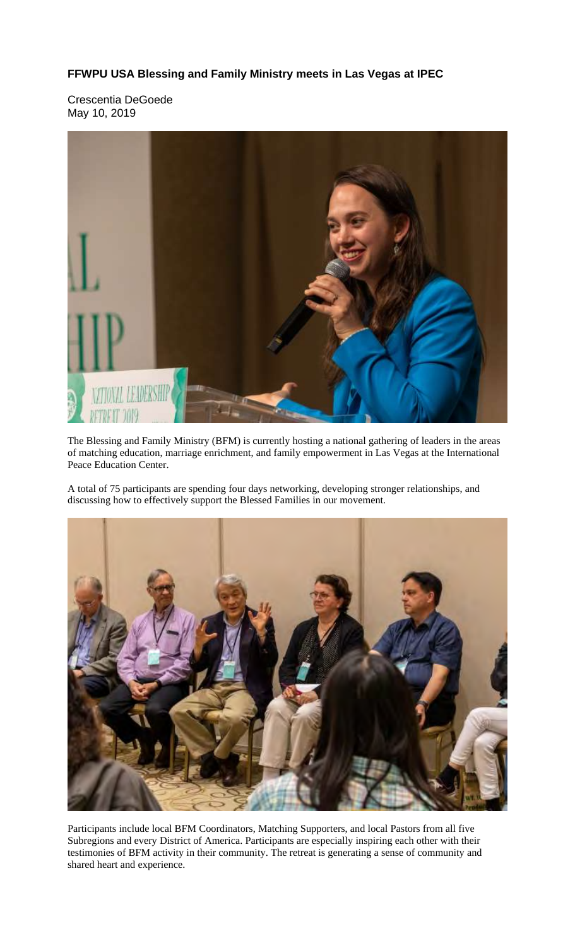## **FFWPU USA Blessing and Family Ministry meets in Las Vegas at IPEC**

Crescentia DeGoede May 10, 2019



The Blessing and Family Ministry (BFM) is currently hosting a national gathering of leaders in the areas of matching education, marriage enrichment, and family empowerment in Las Vegas at the International Peace Education Center.

A total of 75 participants are spending four days networking, developing stronger relationships, and discussing how to effectively support the Blessed Families in our movement.



Participants include local BFM Coordinators, Matching Supporters, and local Pastors from all five Subregions and every District of America. Participants are especially inspiring each other with their testimonies of BFM activity in their community. The retreat is generating a sense of community and shared heart and experience.